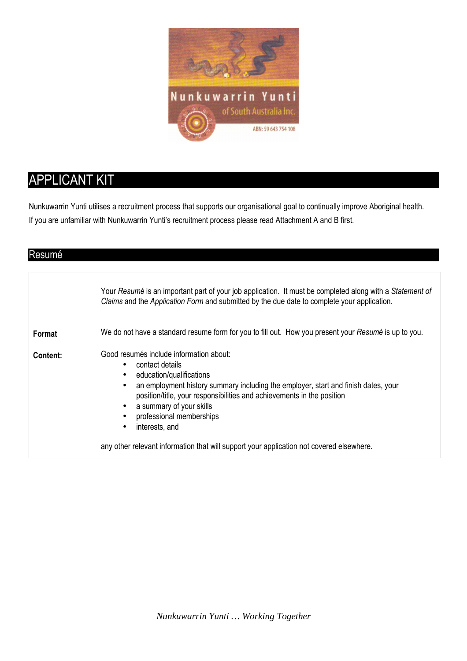

# APPLICANT KIT

Nunkuwarrin Yunti utilises a recruitment process that supports our organisational goal to continually improve Aboriginal health. If you are unfamiliar with Nunkuwarrin Yunti's recruitment process please read Attachment A and B first.

| Resumé   |                                                                                                                                                                                                                                                                                                                                                                                                                |
|----------|----------------------------------------------------------------------------------------------------------------------------------------------------------------------------------------------------------------------------------------------------------------------------------------------------------------------------------------------------------------------------------------------------------------|
|          | Your Resumé is an important part of your job application. It must be completed along with a Statement of<br>Claims and the Application Form and submitted by the due date to complete your application.                                                                                                                                                                                                        |
| Format   | We do not have a standard resume form for you to fill out. How you present your Resumé is up to you.                                                                                                                                                                                                                                                                                                           |
| Content: | Good resumés include information about:<br>contact details<br>$\bullet$<br>education/qualifications<br>$\bullet$<br>an employment history summary including the employer, start and finish dates, your<br>$\bullet$<br>position/title, your responsibilities and achievements in the position<br>a summary of your skills<br>$\bullet$<br>professional memberships<br>$\bullet$<br>interests, and<br>$\bullet$ |
|          | any other relevant information that will support your application not covered elsewhere.                                                                                                                                                                                                                                                                                                                       |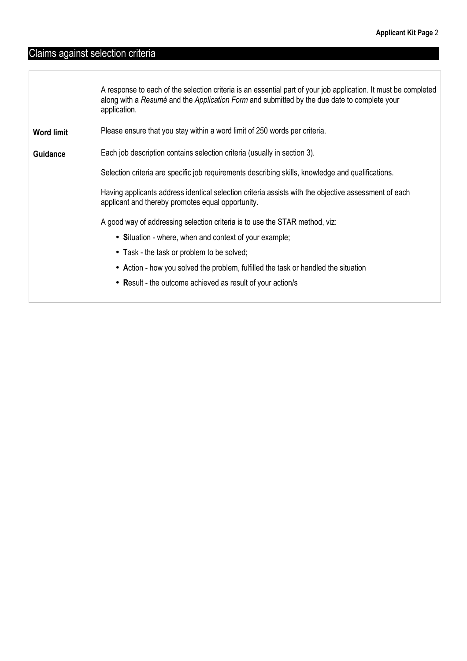# Claims against selection criteria

|                   | A response to each of the selection criteria is an essential part of your job application. It must be completed<br>along with a Resumé and the Application Form and submitted by the due date to complete your<br>application. |
|-------------------|--------------------------------------------------------------------------------------------------------------------------------------------------------------------------------------------------------------------------------|
| <b>Word limit</b> | Please ensure that you stay within a word limit of 250 words per criteria.                                                                                                                                                     |
| <b>Guidance</b>   | Each job description contains selection criteria (usually in section 3).                                                                                                                                                       |
|                   | Selection criteria are specific job requirements describing skills, knowledge and qualifications.                                                                                                                              |
|                   | Having applicants address identical selection criteria assists with the objective assessment of each<br>applicant and thereby promotes equal opportunity.                                                                      |
|                   | A good way of addressing selection criteria is to use the STAR method, viz:                                                                                                                                                    |
|                   | • Situation - where, when and context of your example;                                                                                                                                                                         |
|                   | • Task - the task or problem to be solved;                                                                                                                                                                                     |
|                   | • Action - how you solved the problem, fulfilled the task or handled the situation                                                                                                                                             |
|                   | • Result - the outcome achieved as result of your action/s                                                                                                                                                                     |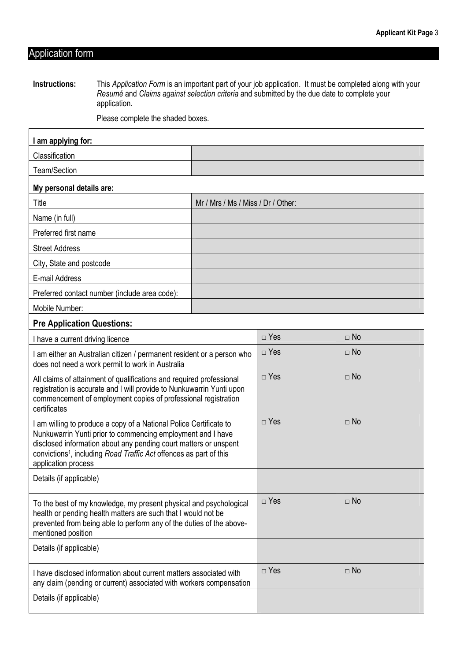### Application form

**Instructions:** This *Application Form* is an important part of your job application. It must be completed along with your *Resumé* and *Claims against selection criteria* and submitted by the due date to complete your application.

Please complete the shaded boxes.

| I am applying for:                                                                                                                                                                                                                                                                                             |            |            |           |  |  |
|----------------------------------------------------------------------------------------------------------------------------------------------------------------------------------------------------------------------------------------------------------------------------------------------------------------|------------|------------|-----------|--|--|
| Classification                                                                                                                                                                                                                                                                                                 |            |            |           |  |  |
| Team/Section                                                                                                                                                                                                                                                                                                   |            |            |           |  |  |
| My personal details are:                                                                                                                                                                                                                                                                                       |            |            |           |  |  |
| Title<br>Mr / Mrs / Ms / Miss / Dr / Other:                                                                                                                                                                                                                                                                    |            |            |           |  |  |
| Name (in full)                                                                                                                                                                                                                                                                                                 |            |            |           |  |  |
| Preferred first name                                                                                                                                                                                                                                                                                           |            |            |           |  |  |
| <b>Street Address</b>                                                                                                                                                                                                                                                                                          |            |            |           |  |  |
| City, State and postcode                                                                                                                                                                                                                                                                                       |            |            |           |  |  |
| E-mail Address                                                                                                                                                                                                                                                                                                 |            |            |           |  |  |
| Preferred contact number (include area code):                                                                                                                                                                                                                                                                  |            |            |           |  |  |
| Mobile Number:                                                                                                                                                                                                                                                                                                 |            |            |           |  |  |
| <b>Pre Application Questions:</b>                                                                                                                                                                                                                                                                              |            |            |           |  |  |
| I have a current driving licence                                                                                                                                                                                                                                                                               |            | $\Box$ Yes | $\Box$ No |  |  |
| I am either an Australian citizen / permanent resident or a person who<br>does not need a work permit to work in Australia                                                                                                                                                                                     |            | $\Box$ Yes | $\Box$ No |  |  |
| All claims of attainment of qualifications and required professional<br>registration is accurate and I will provide to Nunkuwarrin Yunti upon<br>commencement of employment copies of professional registration<br>certificates                                                                                | $\Box$ Yes | $\Box$ No  |           |  |  |
| I am willing to produce a copy of a National Police Certificate to<br>Nunkuwarrin Yunti prior to commencing employment and I have<br>disclosed information about any pending court matters or unspent<br>convictions <sup>1</sup> , including Road Traffic Act offences as part of this<br>application process | $\Box$ Yes | $\Box$ No  |           |  |  |
| Details (if applicable)                                                                                                                                                                                                                                                                                        |            |            |           |  |  |
| To the best of my knowledge, my present physical and psychological<br>health or pending health matters are such that I would not be<br>prevented from being able to perform any of the duties of the above-<br>mentioned position                                                                              | $\Box$ Yes | $\Box$ No  |           |  |  |
| Details (if applicable)                                                                                                                                                                                                                                                                                        |            |            |           |  |  |
| I have disclosed information about current matters associated with<br>any claim (pending or current) associated with workers compensation                                                                                                                                                                      |            | $\Box$ Yes | $\Box$ No |  |  |
| Details (if applicable)                                                                                                                                                                                                                                                                                        |            |            |           |  |  |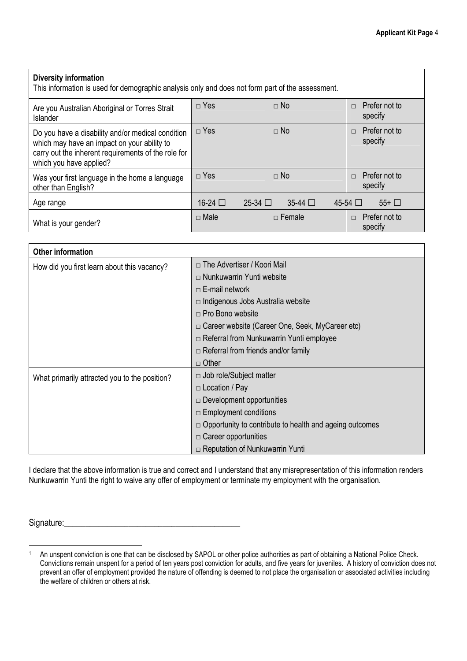| <b>Diversity information</b><br>This information is used for demographic analysis only and does not form part of the assessment.                                                   |                           |                |                                    |  |  |
|------------------------------------------------------------------------------------------------------------------------------------------------------------------------------------|---------------------------|----------------|------------------------------------|--|--|
| Are you Australian Aboriginal or Torres Strait<br><b>Islander</b>                                                                                                                  | $\Box$ Yes                | $\Box$ No      | Prefer not to<br>$\Box$<br>specify |  |  |
| Do you have a disability and/or medical condition<br>which may have an impact on your ability to<br>carry out the inherent requirements of the role for<br>which you have applied? | $\Box$ Yes                | $\Box$ No      | Prefer not to<br>$\Box$<br>specify |  |  |
| Was your first language in the home a language<br>other than English?                                                                                                              | $\Box$ Yes                | $\Box$ No      | Prefer not to<br>$\Box$<br>specify |  |  |
| Age range                                                                                                                                                                          | 16-24 □<br>$25-34$ $\Box$ | $35-44$ $\Box$ | $45-54$ $\Box$<br>$55+$ $\Box$     |  |  |
| What is your gender?                                                                                                                                                               | $\Box$ Male               | $\Box$ Female  | Prefer not to<br>$\Box$<br>specify |  |  |

| <b>Other information</b>                      |                                                                |
|-----------------------------------------------|----------------------------------------------------------------|
| How did you first learn about this vacancy?   | □ The Advertiser / Koori Mail                                  |
|                                               | $\Box$ Nunkuwarrin Yunti website                               |
|                                               | $\Box$ E-mail network                                          |
|                                               | $\Box$ Indigenous Jobs Australia website                       |
|                                               | $\Box$ Pro Bono website                                        |
|                                               | □ Career website (Career One, Seek, MyCareer etc)              |
|                                               | $\Box$ Referral from Nunkuwarrin Yunti employee                |
|                                               | $\Box$ Referral from friends and/or family                     |
|                                               | $\Box$ Other                                                   |
| What primarily attracted you to the position? | $\Box$ Job role/Subject matter                                 |
|                                               | $\Box$ Location / Pay                                          |
|                                               | $\Box$ Development opportunities                               |
|                                               | $\Box$ Employment conditions                                   |
|                                               | $\Box$ Opportunity to contribute to health and ageing outcomes |
|                                               | $\Box$ Career opportunities                                    |
|                                               | $\Box$ Reputation of Nunkuwarrin Yunti                         |

I declare that the above information is true and correct and I understand that any misrepresentation of this information renders Nunkuwarrin Yunti the right to waive any offer of employment or terminate my employment with the organisation.

Signature:\_\_\_\_\_\_\_\_\_\_\_\_\_\_\_\_\_\_\_\_\_\_\_\_\_\_\_\_\_\_\_\_\_\_\_\_\_\_\_\_\_

 $\overline{a}$ 

<sup>1</sup> An unspent conviction is one that can be disclosed by SAPOL or other police authorities as part of obtaining a National Police Check. Convictions remain unspent for a period of ten years post conviction for adults, and five years for juveniles. A history of conviction does not prevent an offer of employment provided the nature of offending is deemed to not place the organisation or associated activities including the welfare of children or others at risk.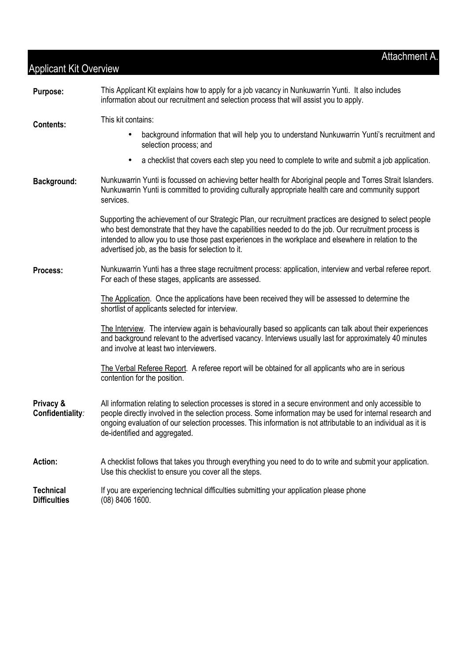#### **Purpose:** This Applicant Kit explains how to apply for a job vacancy in Nunkuwarrin Yunti.It also includes information about our recruitment and selection process that will assist you to apply. **Contents:** This kit contains: • background information that will help you to understand Nunkuwarrin Yunti's recruitment and selection process; and • a checklist that covers each step you need to complete to write and submit a job application. **Background:** Nunkuwarrin Yunti is focussed on achieving better health for Aboriginal people and Torres Strait Islanders. Nunkuwarrin Yunti is committed to providing culturally appropriate health care and community support services. Supporting the achievement of our Strategic Plan, our recruitment practices are designed to select people who best demonstrate that they have the capabilities needed to do the job. Our recruitment process is intended to allow you to use those past experiences in the workplace and elsewhere in relation to the advertised job, as the basis for selection to it. **Process:** Nunkuwarrin Yunti has a three stage recruitment process: application, interview and verbal referee report. For each of these stages, applicants are assessed. The Application. Once the applications have been received they will be assessed to determine the shortlist of applicants selected for interview. The Interview. The interview again is behaviourally based so applicants can talk about their experiences and background relevant to the advertised vacancy. Interviews usually last for approximately 40 minutes and involve at least two interviewers. The Verbal Referee Report. A referee report will be obtained for all applicants who are in serious contention for the position. **Privacy & Confidentiality***:* All information relating to selection processes is stored in a secure environment and only accessible to people directly involved in the selection process. Some information may be used for internal research and ongoing evaluation of our selection processes. This information is not attributable to an individual as it is de-identified and aggregated. **Action:** A checklist follows that takes you through everything you need to do to write and submit your application. Use this checklist to ensure you cover all the steps. **Technical Difficulties**  If you are experiencing technical difficulties submitting your application please phone (08) 8406 1600.

Applicant Kit Overview